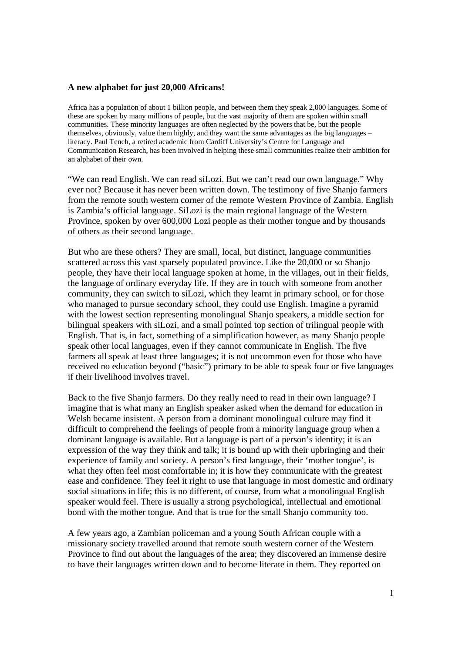## **A new alphabet for just 20,000 Africans!**

Africa has a population of about 1 billion people, and between them they speak 2,000 languages. Some of these are spoken by many millions of people, but the vast majority of them are spoken within small communities. These minority languages are often neglected by the powers that be, but the people themselves, obviously, value them highly, and they want the same advantages as the big languages – literacy. Paul Tench, a retired academic from Cardiff University's Centre for Language and Communication Research, has been involved in helping these small communities realize their ambition for an alphabet of their own.

"We can read English. We can read siLozi. But we can't read our own language." Why ever not? Because it has never been written down. The testimony of five Shanjo farmers from the remote south western corner of the remote Western Province of Zambia. English is Zambia's official language. SiLozi is the main regional language of the Western Province, spoken by over 600,000 Lozi people as their mother tongue and by thousands of others as their second language.

But who are these others? They are small, local, but distinct, language communities scattered across this vast sparsely populated province. Like the 20,000 or so Shanjo people, they have their local language spoken at home, in the villages, out in their fields, the language of ordinary everyday life. If they are in touch with someone from another community, they can switch to siLozi, which they learnt in primary school, or for those who managed to pursue secondary school, they could use English. Imagine a pyramid with the lowest section representing monolingual Shanjo speakers, a middle section for bilingual speakers with siLozi, and a small pointed top section of trilingual people with English. That is, in fact, something of a simplification however, as many Shanjo people speak other local languages, even if they cannot communicate in English. The five farmers all speak at least three languages; it is not uncommon even for those who have received no education beyond ("basic") primary to be able to speak four or five languages if their livelihood involves travel.

Back to the five Shanjo farmers. Do they really need to read in their own language? I imagine that is what many an English speaker asked when the demand for education in Welsh became insistent. A person from a dominant monolingual culture may find it difficult to comprehend the feelings of people from a minority language group when a dominant language is available. But a language is part of a person's identity; it is an expression of the way they think and talk; it is bound up with their upbringing and their experience of family and society. A person's first language, their 'mother tongue', is what they often feel most comfortable in; it is how they communicate with the greatest ease and confidence. They feel it right to use that language in most domestic and ordinary social situations in life; this is no different, of course, from what a monolingual English speaker would feel. There is usually a strong psychological, intellectual and emotional bond with the mother tongue. And that is true for the small Shanjo community too.

A few years ago, a Zambian policeman and a young South African couple with a missionary society travelled around that remote south western corner of the Western Province to find out about the languages of the area; they discovered an immense desire to have their languages written down and to become literate in them. They reported on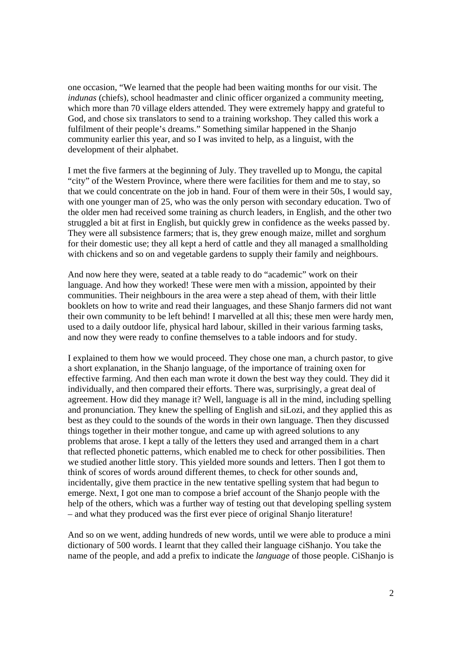one occasion, "We learned that the people had been waiting months for our visit. The *indunas* (chiefs), school headmaster and clinic officer organized a community meeting, which more than 70 village elders attended. They were extremely happy and grateful to God, and chose six translators to send to a training workshop. They called this work a fulfilment of their people's dreams." Something similar happened in the Shanjo community earlier this year, and so I was invited to help, as a linguist, with the development of their alphabet.

I met the five farmers at the beginning of July. They travelled up to Mongu, the capital "city" of the Western Province, where there were facilities for them and me to stay, so that we could concentrate on the job in hand. Four of them were in their 50s, I would say, with one younger man of 25, who was the only person with secondary education. Two of the older men had received some training as church leaders, in English, and the other two struggled a bit at first in English, but quickly grew in confidence as the weeks passed by. They were all subsistence farmers; that is, they grew enough maize, millet and sorghum for their domestic use; they all kept a herd of cattle and they all managed a smallholding with chickens and so on and vegetable gardens to supply their family and neighbours.

And now here they were, seated at a table ready to do "academic" work on their language. And how they worked! These were men with a mission, appointed by their communities. Their neighbours in the area were a step ahead of them, with their little booklets on how to write and read their languages, and these Shanjo farmers did not want their own community to be left behind! I marvelled at all this; these men were hardy men, used to a daily outdoor life, physical hard labour, skilled in their various farming tasks, and now they were ready to confine themselves to a table indoors and for study.

I explained to them how we would proceed. They chose one man, a church pastor, to give a short explanation, in the Shanjo language, of the importance of training oxen for effective farming. And then each man wrote it down the best way they could. They did it individually, and then compared their efforts. There was, surprisingly, a great deal of agreement. How did they manage it? Well, language is all in the mind, including spelling and pronunciation. They knew the spelling of English and siLozi, and they applied this as best as they could to the sounds of the words in their own language. Then they discussed things together in their mother tongue, and came up with agreed solutions to any problems that arose. I kept a tally of the letters they used and arranged them in a chart that reflected phonetic patterns, which enabled me to check for other possibilities. Then we studied another little story. This yielded more sounds and letters. Then I got them to think of scores of words around different themes, to check for other sounds and, incidentally, give them practice in the new tentative spelling system that had begun to emerge. Next, I got one man to compose a brief account of the Shanjo people with the help of the others, which was a further way of testing out that developing spelling system – and what they produced was the first ever piece of original Shanjo literature!

And so on we went, adding hundreds of new words, until we were able to produce a mini dictionary of 500 words. I learnt that they called their language ciShanjo. You take the name of the people, and add a prefix to indicate the *language* of those people. CiShanjo is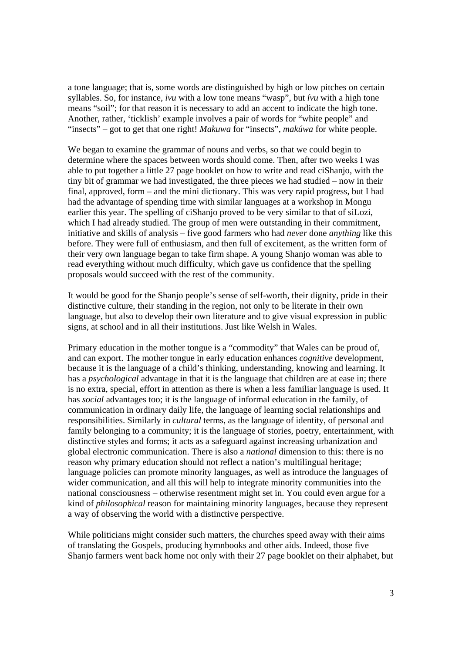a tone language; that is, some words are distinguished by high or low pitches on certain syllables. So, for instance, *ivu* with a low tone means "wasp", but *ívu* with a high tone means "soil"; for that reason it is necessary to add an accent to indicate the high tone. Another, rather, 'ticklish' example involves a pair of words for "white people" and "insects" – got to get that one right! *Makuwa* for "insects", *makúwa* for white people.

We began to examine the grammar of nouns and verbs, so that we could begin to determine where the spaces between words should come. Then, after two weeks I was able to put together a little 27 page booklet on how to write and read ciShanjo, with the tiny bit of grammar we had investigated, the three pieces we had studied – now in their final, approved, form – and the mini dictionary. This was very rapid progress, but I had had the advantage of spending time with similar languages at a workshop in Mongu earlier this year. The spelling of ciShanjo proved to be very similar to that of siLozi, which I had already studied. The group of men were outstanding in their commitment, initiative and skills of analysis – five good farmers who had *never* done *anything* like this before. They were full of enthusiasm, and then full of excitement, as the written form of their very own language began to take firm shape. A young Shanjo woman was able to read everything without much difficulty, which gave us confidence that the spelling proposals would succeed with the rest of the community.

It would be good for the Shanjo people's sense of self-worth, their dignity, pride in their distinctive culture, their standing in the region, not only to be literate in their own language, but also to develop their own literature and to give visual expression in public signs, at school and in all their institutions. Just like Welsh in Wales.

Primary education in the mother tongue is a "commodity" that Wales can be proud of, and can export. The mother tongue in early education enhances *cognitive* development, because it is the language of a child's thinking, understanding, knowing and learning. It has a *psychological* advantage in that it is the language that children are at ease in; there is no extra, special, effort in attention as there is when a less familiar language is used. It has *social* advantages too; it is the language of informal education in the family, of communication in ordinary daily life, the language of learning social relationships and responsibilities. Similarly in *cultural* terms, as the language of identity, of personal and family belonging to a community; it is the language of stories, poetry, entertainment, with distinctive styles and forms; it acts as a safeguard against increasing urbanization and global electronic communication. There is also a *national* dimension to this: there is no reason why primary education should not reflect a nation's multilingual heritage; language policies can promote minority languages, as well as introduce the languages of wider communication, and all this will help to integrate minority communities into the national consciousness – otherwise resentment might set in. You could even argue for a kind of *philosophical* reason for maintaining minority languages, because they represent a way of observing the world with a distinctive perspective.

While politicians might consider such matters, the churches speed away with their aims of translating the Gospels, producing hymnbooks and other aids. Indeed, those five Shanjo farmers went back home not only with their 27 page booklet on their alphabet, but